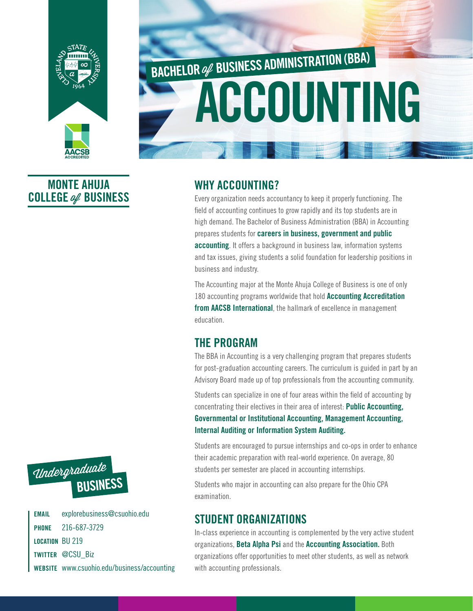

# ACCOUNTING BACHELOR Of BUSINESS ADMINISTRATION (BBA)

### MONTE AHUJA COLLEGE of BUSINESS



Every organization needs accountancy to keep it properly functioning. The field of accounting continues to grow rapidly and its top students are in high demand. The Bachelor of Business Administration (BBA) in Accounting prepares students for careers in business, government and public accounting. It offers a background in business law, information systems and tax issues, giving students a solid foundation for leadership positions in business and industry.

The Accounting major at the Monte Ahuja College of Business is one of only 180 accounting programs worldwide that hold Accounting Accreditation from AACSB International, the hallmark of excellence in management education.

#### THE PROGRAM

The BBA in Accounting is a very challenging program that prepares students for post-graduation accounting careers. The curriculum is guided in part by an Advisory Board made up of top professionals from the accounting community.

Students can specialize in one of four areas within the field of accounting by concentrating their electives in their area of interest: Public Accounting, Governmental or Institutional Accounting, Management Accounting, Internal Auditing or Information System Auditing.

Students are encouraged to pursue internships and co-ops in order to enhance their academic preparation with real-world experience. On average, 80 students per semester are placed in accounting internships.

Students who major in accounting can also prepare for the Ohio CPA examination.

#### STUDENT ORGANIZATIONS

In-class experience in accounting is complemented by the very active student organizations, Beta Alpha Psi and the Accounting Association. Both organizations offer opportunities to meet other students, as well as network with accounting professionals.



EMAIL explorebusiness@csuohio.edu PHONE 216-687-3729 LOCATION BU 219 TWITTER @CSU Biz WEBSITE www.csuohio.edu/business/accounting